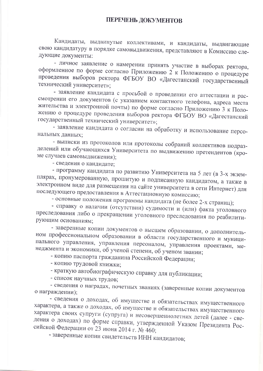Кандидаты, выдвинутые коллективами, и кандидаты, выдвигающие свою кандидатуру в порядке самовыдвижения, представляют в Комиссию следующие документы:

- личное заявление о намерении принять участие в выборах ректора, оформленное по форме согласно Приложению 2 к Положению о процедуре проведения выборов ректора ФГБОУ ВО «Дагестанский государственный технический университет»;

- заявление кандидата с просьбой о проведении его аттестации и рассмотрении его документов (с указанием контактного телефона, адреса места жительства и электронной почты) по форме согласно Приложению 3 к Положению о процедуре проведения выборов ректора ФГБОУ ВО «Дагестанский государственный технический университет»;

- заявление кандидата о согласии на обработку и использование персональных данных;

- выписки из протоколов или протоколы собраний коллективов подразделений или обучающихся Университета по выдвижению претендентов (кроме случаев самовыдвижения);

- сведения о кандидате;

- программу кандидата по развитию Университета на 5 лет (в 3-х экземплярах, пронумерованную, прошитую и подписанную кандидатом, а также в электронном виде для размещения на сайте университета в сети Интернет) для последующего предоставления в Аттестационную комиссию;

- основные положения программы кандидата (не более 2-х страниц);

- справку о наличии (отсутствии) судимости и (или) факта уголовного преследования либо о прекращении уголовного преследования по реабилитирующим основаниям;

- заверенные копии документов о высшем образовании, о дополнительном профессиональном образовании в области государственного и муниципального управления, управления персоналом, управления проектами, менеджмента и экономики, об ученой степени, об ученом звании;

- копию паспорта гражданина Российской Федерации;

- копию трудовой книжки;

- краткую автобиографическую справку для публикации;

- список научных трудов;

- сведения о наградах, почетных званиях (заверенные копии документов о награждении);

- сведения о доходах, об имуществе и обязательствах имущественного характера, а также о доходах, об имуществе и обязательствах имущественного характера своих супруги (супруга) и несовершеннолетних детей (далее - сведения о доходах) по форме справки, утвержденной Указом Президента Российской Федерации от 23 июня 2014 г. № 460;

- заверенные копии свидетельств ИНН кандидатов;